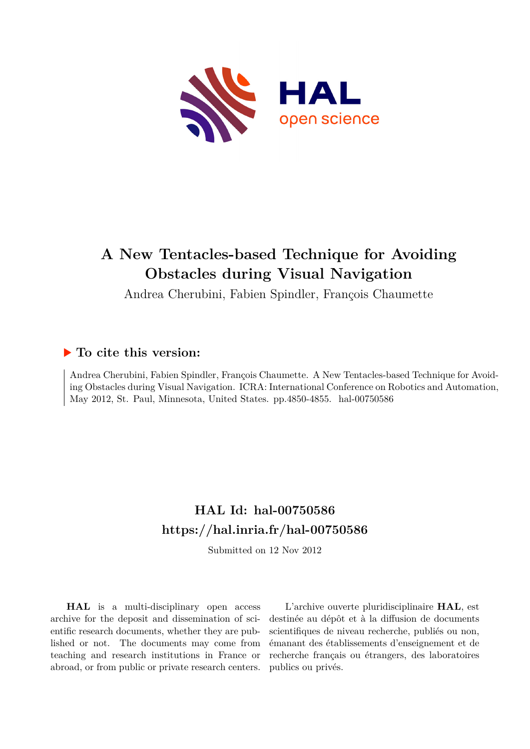

# **A New Tentacles-based Technique for Avoiding Obstacles during Visual Navigation**

Andrea Cherubini, Fabien Spindler, François Chaumette

# **To cite this version:**

Andrea Cherubini, Fabien Spindler, François Chaumette. A New Tentacles-based Technique for Avoiding Obstacles during Visual Navigation. ICRA: International Conference on Robotics and Automation, May 2012, St. Paul, Minnesota, United States. pp.4850-4855. hal-00750586

# **HAL Id: hal-00750586 <https://hal.inria.fr/hal-00750586>**

Submitted on 12 Nov 2012

**HAL** is a multi-disciplinary open access archive for the deposit and dissemination of scientific research documents, whether they are published or not. The documents may come from teaching and research institutions in France or abroad, or from public or private research centers.

L'archive ouverte pluridisciplinaire **HAL**, est destinée au dépôt et à la diffusion de documents scientifiques de niveau recherche, publiés ou non, émanant des établissements d'enseignement et de recherche français ou étrangers, des laboratoires publics ou privés.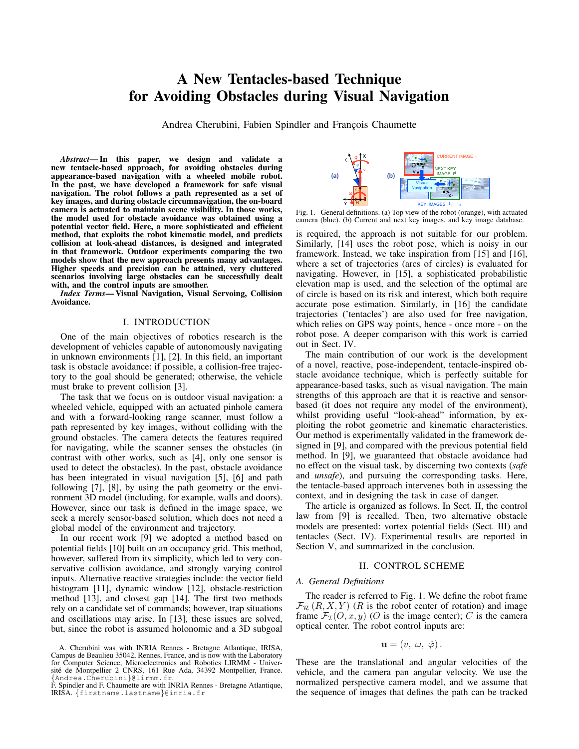# A New Tentacles-based Technique for Avoiding Obstacles during Visual Navigation

Andrea Cherubini, Fabien Spindler and François Chaumette

Abstract—In this paper, we design and validate a new tentacle-based approach, for avoiding obstacles during appearance-based navigation with a wheeled mobile robot. In the past, we have developed a framework for safe visual navigation. The robot follows a path represented as a set of key images, and during obstacle circumnavigation, the on-board camera is actuated to maintain scene visibility. In those works, the model used for obstacle avoidance was obtained using a potential vector field. Here, a more sophisticated and efficient method, that exploits the robot kinematic model, and predicts collision at look-ahead distances, is designed and integrated in that framework. Outdoor experiments comparing the two models show that the new approach presents many advantages. Higher speeds and precision can be attained, very cluttered scenarios involving large obstacles can be successfully dealt with, and the control inputs are smoother.

*Index Terms*— Visual Navigation, Visual Servoing, Collision Avoidance.

## I. INTRODUCTION

One of the main objectives of robotics research is the development of vehicles capable of autonomously navigating in unknown environments  $[1]$ ,  $[2]$ . In this field, an important task is obstacle avoidance: if possible, a collision-free trajectory to the goal should be generated; otherwise, the vehicle must brake to prevent collision [3].

The task that we focus on is outdoor visual navigation: a wheeled vehicle, equipped with an actuated pinhole camera and with a forward-looking range scanner, must follow a path represented by key images, without colliding with the ground obstacles. The camera detects the features required for navigating, while the scanner senses the obstacles (in contrast with other works, such as [4], only one sensor is used to detect the obstacles). In the past, obstacle avoidance has been integrated in visual navigation [5], [6] and path following [7], [8], by using the path geometry or the environment 3D model (including, for example, walls and doors). However, since our task is defined in the image space, we seek a merely sensor-based solution, which does not need a global model of the environment and trajectory.

In our recent work [9] we adopted a method based on potential fields [10] built on an occupancy grid. This method, however, suffered from its simplicity, which led to very conservative collision avoidance, and strongly varying control inputs. Alternative reactive strategies include: the vector field histogram [11], dynamic window [12], obstacle-restriction method [13], and closest gap [14]. The first two methods rely on a candidate set of commands; however, trap situations and oscillations may arise. In [13], these issues are solved, but, since the robot is assumed holonomic and a 3D subgoal



Fig. 1. General definitions. (a) Top view of the robot (orange), with actuated camera (blue). (b) Current and next key images, and key image database.

is required, the approach is not suitable for our problem. Similarly, [14] uses the robot pose, which is noisy in our framework. Instead, we take inspiration from [15] and [16], where a set of trajectories (arcs of circles) is evaluated for navigating. However, in [15], a sophisticated probabilistic elevation map is used, and the selection of the optimal arc of circle is based on its risk and interest, which both require accurate pose estimation. Similarly, in [16] the candidate trajectories ('tentacles') are also used for free navigation, which relies on GPS way points, hence - once more - on the robot pose. A deeper comparison with this work is carried out in Sect. IV.

The main contribution of our work is the development of a novel, reactive, pose-independent, tentacle-inspired obstacle avoidance technique, which is perfectly suitable for appearance-based tasks, such as visual navigation. The main strengths of this approach are that it is reactive and sensorbased (it does not require any model of the environment), whilst providing useful "look-ahead" information, by exploiting the robot geometric and kinematic characteristics. Our method is experimentally validated in the framework designed in [9], and compared with the previous potential field method. In [9], we guaranteed that obstacle avoidance had no effect on the visual task, by discerning two contexts (safe and *unsafe*), and pursuing the corresponding tasks. Here, the tentacle-based approach intervenes both in assessing the context, and in designing the task in case of danger.

The article is organized as follows. In Sect. II, the control law from [9] is recalled. Then, two alternative obstacle models are presented: vortex potential fields (Sect. III) and tentacles (Sect. IV). Experimental results are reported in Section V, and summarized in the conclusion.

#### **II. CONTROL SCHEME**

### A. General Definitions

The reader is referred to Fig. 1. We define the robot frame  $\mathcal{F}_{\mathcal{R}}(R, X, Y)$  (R is the robot center of rotation) and image frame  $\mathcal{F}_{\mathcal{I}}(O, x, y)$  (O is the image center); C is the camera optical center. The robot control inputs are:

$$
\mathbf{u}=(v, \ \omega, \ \dot{\varphi}).
$$

These are the translational and angular velocities of the vehicle, and the camera pan angular velocity. We use the normalized perspective camera model, and we assume that the sequence of images that defines the path can be tracked

A. Cherubini was with INRIA Rennes - Bretagne Atlantique, IRISA, Campus de Beaulieu 35042, Rennes, France, and is now with the Laboratory for Computer Science, Microelectronics and Robotics LIRMM - Université de Montpellier 2 CNRS, 161 Rue Ada, 34392 Montpellier, France. {Andrea.Cherubini}@lirmm.fr

F. Spindler and F. Chaumette are with INRIA Rennes - Bretagne Atlantique, IRIŠA. {firstname.lastname}@inria.fr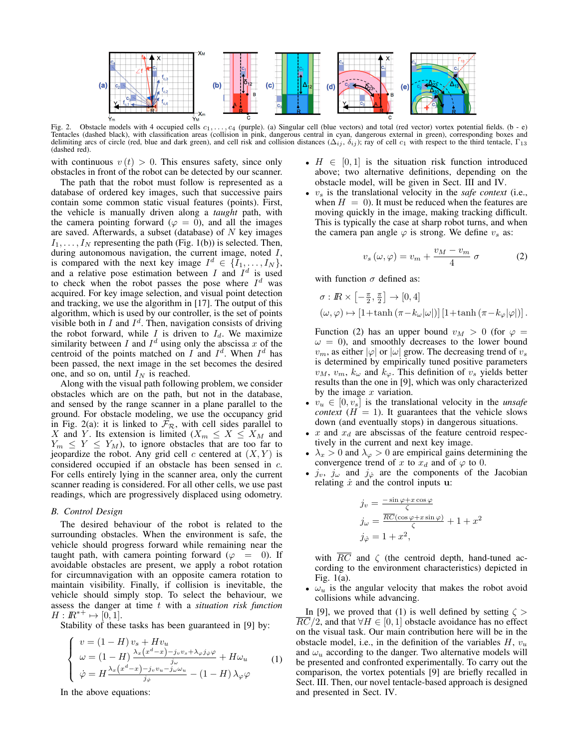

Fig. 2. Obstacle models with 4 occupied cells  $c_1, \ldots, c_4$  (purple). (a) Singular cell (blue vectors) and total (red vector) vortex potential fields. (b - e) Tentacles (dashed black), with classification areas (collision in pink, dangerous central in cyan, dangerous external in green), corresponding boxes and delimiting arcs of circle (red, blue and dark green), and cell risk and collision distances  $(\Delta_{ij}, \delta_{ij})$ ; ray of cell  $c_1$  with respect to the third tentacle,  $\Gamma_{13}$ (dashed red).

with continuous  $v(t) > 0$ . This ensures safety, since only obstacles in front of the robot can be detected by our scanner.

The path that the robot must follow is represented as a database of ordered key images, such that successive pairs contain some common static visual features (points). First, the vehicle is manually driven along a *taught* path, with the camera pointing forward ( $\varphi = 0$ ), and all the images are saved. Afterwards, a subset (database) of  $N$  key images  $I_1, \ldots, I_N$  representing the path (Fig. 1(b)) is selected. Then, during autonomous navigation, the current image, noted  $I$ , is compared with the next key image  $I^d \in \{I_1, \ldots, I_N\},\$ and a relative pose estimation between  $I$  and  $I^d$  is used to check when the robot passes the pose where  $I^d$  was acquired. For key image selection, and visual point detection and tracking, we use the algorithm in  $[17]$ . The output of this algorithm, which is used by our controller, is the set of points visible both in  $I$  and  $I^d$ . Then, navigation consists of driving the robot forward, while  $I$  is driven to  $I_d$ . We maximize similarity between  $I$  and  $I^d$  using only the abscissa  $x$  of the centroid of the points matched on  $I$  and  $I^d$ . When  $I^d$  has been passed, the next image in the set becomes the desired one, and so on, until  $I_N$  is reached.

Along with the visual path following problem, we consider obstacles which are on the path, but not in the database, and sensed by the range scanner in a plane parallel to the ground. For obstacle modeling, we use the occupancy grid in Fig. 2(a): it is linked to  $\mathcal{F}_{\mathcal{R}}$ , with cell sides parallel to X and Y. Its extension is limited  $(X_m \leq X \leq X_M$  and  $Y_m \leq Y \leq Y_M$ , to ignore obstacles that are too far to jeopardize the robot. Any grid cell  $c$  centered at  $(X, Y)$  is considered occupied if an obstacle has been sensed in c. For cells entirely lying in the scanner area, only the current scanner reading is considered. For all other cells, we use past readings, which are progressively displaced using odometry.

#### **B.** Control Design

The desired behaviour of the robot is related to the surrounding obstacles. When the environment is safe, the vehicle should progress forward while remaining near the taught path, with camera pointing forward ( $\varphi = 0$ ). If avoidable obstacles are present, we apply a robot rotation for circumnavigation with an opposite camera rotation to maintain visibility. Finally, if collision is inevitable, the vehicle should simply stop. To select the behaviour, we assess the danger at time t with a *situation risk function*  $H: \mathbb{R}^{*+} \mapsto [0,1].$ 

Stability of these tasks has been guaranteed in [9] by:

$$
\begin{cases}\nv = (1 - H) v_s + H v_u \\
\omega = (1 - H) \frac{\lambda_x (x^d - x) - j_v v_s + \lambda_\varphi j_\varphi \varphi}{j_\omega} + H \omega_u \\
\dot{\varphi} = H \frac{\lambda_x (x^d - x) - j_v v_u - j_\omega \omega_u}{j_\varphi} - (1 - H) \lambda_\varphi \varphi\n\end{cases}
$$
\n(1)

In the above equations:

- $H \in [0,1]$  is the situation risk function introduced above; two alternative definitions, depending on the obstacle model, will be given in Sect. III and IV.
- $v_s$  is the translational velocity in the *safe context* (i.e., when  $H = 0$ ). It must be reduced when the features are moving quickly in the image, making tracking difficult. This is typically the case at sharp robot turns, and when the camera pan angle  $\varphi$  is strong. We define  $v_s$  as:

$$
v_s(\omega, \varphi) = v_m + \frac{v_M - v_m}{4} \sigma \tag{2}
$$

with function  $\sigma$  defined as:

$$
\sigma: \mathbb{R} \times \left[ -\frac{\pi}{2}, \frac{\pi}{2} \right] \to [0, 4]
$$
  

$$
(\omega, \varphi) \mapsto \left[ 1 + \tanh \left( \pi - k_{\omega} |\omega| \right) \right] \left[ 1 + \tanh \left( \pi - k_{\varphi} |\varphi| \right) \right].
$$

Function (2) has an upper bound  $v_M > 0$  (for  $\varphi =$  $\omega = 0$ , and smoothly decreases to the lower bound  $v_m$ , as either  $|\varphi|$  or  $|\omega|$  grow. The decreasing trend of  $v_s$ is determined by empirically tuned positive parameters  $v_M$ ,  $v_m$ ,  $k_\omega$  and  $k_\varphi$ . This definition of  $v_s$  yields better results than the one in [9], which was only characterized by the image  $x$  variation.

- $v_u \in [0, v_s]$  is the translational velocity in the *unsafe context* ( $H = 1$ ). It guarantees that the vehicle slows down (and eventually stops) in dangerous situations.
- $x$  and  $x_d$  are abscissas of the feature centroid respectively in the current and next key image.
- $\lambda_x > 0$  and  $\lambda_{\varphi} > 0$  are empirical gains determining the convergence trend of x to  $x_d$  and of  $\varphi$  to 0.
- $j_v$ ,  $j_\omega$  and  $j_{\varphi}$  are the components of the Jacobian relating  $\dot{x}$  and the control inputs  $\bf{u}$ :

$$
j_v = \frac{-\sin\varphi + x\cos\varphi}{\zeta}
$$
  
\n
$$
j_\omega = \frac{\overline{RC}(\cos\varphi + x\sin\varphi)}{\zeta} + 1 + x^2
$$
  
\n
$$
j_\varphi = 1 + x^2,
$$

with  $\overline{RC}$  and  $\zeta$  (the centroid depth, hand-tuned according to the environment characteristics) depicted in Fig.  $1(a)$ .

•  $\omega_u$  is the angular velocity that makes the robot avoid collisions while advancing.

In [9], we proved that (1) is well defined by setting  $\zeta$  $RC/2$ , and that  $\forall H \in [0, 1]$  obstacle avoidance has no effect on the visual task. Our main contribution here will be in the obstacle model, i.e., in the definition of the variables  $H, v_u$ and  $\omega_u$  according to the danger. Two alternative models will be presented and confronted experimentally. To carry out the comparison, the vortex potentials [9] are briefly recalled in Sect. III. Then, our novel tentacle-based approach is designed and presented in Sect. IV.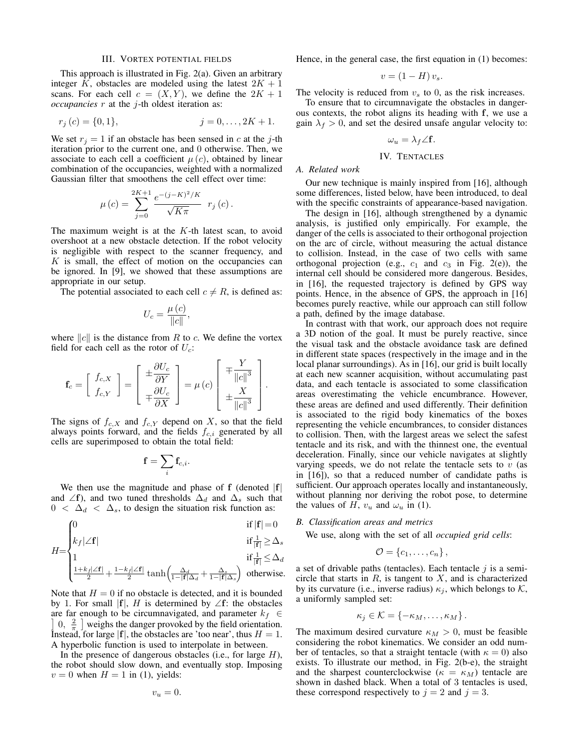#### **III. VORTEX POTENTIAL FIELDS**

This approach is illustrated in Fig.  $2(a)$ . Given an arbitrary integer K, obstacles are modeled using the latest  $2K + 1$ scans. For each cell  $c = (X, Y)$ , we define the  $2K + 1$ *occupancies*  $r$  at the  $j$ -th oldest iteration as:

$$
r_j(c) = \{0, 1\}, \qquad j = 0, \dots, 2K + 1.
$$

We set  $r_i = 1$  if an obstacle has been sensed in c at the j-th iteration prior to the current one, and 0 otherwise. Then, we associate to each cell a coefficient  $\mu(c)$ , obtained by linear combination of the occupancies, weighted with a normalized Gaussian filter that smoothens the cell effect over time:

$$
\mu(c) = \sum_{j=0}^{2K+1} \frac{e^{-(j-K)^2/K}}{\sqrt{K\pi}} r_j(c).
$$

The maximum weight is at the  $K$ -th latest scan, to avoid overshoot at a new obstacle detection. If the robot velocity is negligible with respect to the scanner frequency, and K is small, the effect of motion on the occupancies can be ignored. In [9], we showed that these assumptions are appropriate in our setup.

The potential associated to each cell  $c \neq R$ , is defined as:

$$
U_c = \frac{\mu(c)}{\|c\|},
$$

where  $||c||$  is the distance from R to c. We define the vortex field for each cell as the rotor of  $U_c$ :

$$
\mathbf{f}_c = \left[ \begin{array}{c} f_{c,X} \\ f_{c,Y} \end{array} \right] = \left[ \begin{array}{c} \pm \frac{\partial U_c}{\partial Y} \\ \mp \frac{\partial U_c}{\partial X} \end{array} \right] = \mu(c) \left[ \begin{array}{c} \mp \frac{Y}{\|c\|^3} \\ \pm \frac{X}{\|c\|^3} \end{array} \right].
$$

The signs of  $f_{c,X}$  and  $f_{c,Y}$  depend on X, so that the field always points forward, and the fields  $f_{c,i}$  generated by all cells are superimposed to obtain the total field:

$$
\mathbf{f}=\sum_i\mathbf{f}_{c,i}.
$$

We then use the magnitude and phase of  $f$  (denoted  $|f|$ and  $\angle f$ , and two tuned thresholds  $\Delta_d$  and  $\Delta_s$  such that  $0 < \Delta_d < \Delta_s$ , to design the situation risk function as:

$$
H = \begin{cases} 0 & \text{if } |\mathbf{f}| = 0 \\ k_f|\angle \mathbf{f}| & \text{if } \frac{1}{|\mathbf{f}|} \geq \Delta_s \\ 1 & \text{if } \frac{1}{|\mathbf{f}|} \leq \Delta_d \\ \frac{1 + k_f|\angle \mathbf{f}|}{2} + \frac{1 - k_f|\angle \mathbf{f}|}{2} \tanh\left(\frac{\Delta_d}{1 - |\mathbf{f}| \Delta_d} + \frac{\Delta_s}{1 - |\mathbf{f}| \Delta_s}\right) & \text{otherwise} \end{cases}
$$

Note that  $H = 0$  if no obstacle is detected, and it is bounded by 1. For small  $|f|$ , H is determined by  $\angle f$ : the obstacles are far enough to be circumnavigated, and parameter  $k_f \in$ 0,  $\frac{2}{\pi}$  weighs the danger provoked by the field orientation. Instead, for large  $|f|$ , the obstacles are 'too near', thus  $H = 1$ . A hyperbolic function is used to interpolate in between.

In the presence of dangerous obstacles (i.e., for large  $H$ ), the robot should slow down, and eventually stop. Imposing  $v = 0$  when  $H = 1$  in (1), yields:

$$
v_u=0.
$$

Hence, in the general case, the first equation in (1) becomes:

$$
v = (1 - H) v_s.
$$

The velocity is reduced from  $v_s$  to 0, as the risk increases.

To ensure that to circumnavigate the obstacles in dangerous contexts, the robot aligns its heading with f, we use a gain  $\lambda_f > 0$ , and set the desired unsafe angular velocity to:

$$
\omega_u = \lambda_f \angle \mathbf{f}
$$

## IV. TENTACLES

# A. Related work

Our new technique is mainly inspired from [16], although some differences, listed below, have been introduced, to deal with the specific constraints of appearance-based navigation.

The design in [16], although strengthened by a dynamic analysis, is justified only empirically. For example, the danger of the cells is associated to their orthogonal projection on the arc of circle, without measuring the actual distance to collision. Instead, in the case of two cells with same orthogonal projection (e.g.,  $c_1$  and  $c_3$  in Fig. 2(e)), the internal cell should be considered more dangerous. Besides, in [16], the requested trajectory is defined by GPS way points. Hence, in the absence of GPS, the approach in [16] becomes purely reactive, while our approach can still follow a path, defined by the image database.

In contrast with that work, our approach does not require a 3D notion of the goal. It must be purely reactive, since the visual task and the obstacle avoidance task are defined in different state spaces (respectively in the image and in the local planar surroundings). As in [16], our grid is built locally at each new scanner acquisition, without accumulating past data, and each tentacle is associated to some classification areas overestimating the vehicle encumbrance. However, these areas are defined and used differently. Their definition is associated to the rigid body kinematics of the boxes representing the vehicle encumbrances, to consider distances to collision. Then, with the largest areas we select the safest tentacle and its risk, and with the thinnest one, the eventual deceleration. Finally, since our vehicle navigates at slightly varying speeds, we do not relate the tentacle sets to  $v$  (as in [16]), so that a reduced number of candidate paths is sufficient. Our approach operates locally and instantaneously, without planning nor deriving the robot pose, to determine the values of H,  $v_u$  and  $\omega_u$  in (1).

#### B. Classification areas and metrics

We use, along with the set of all *occupied grid cells*:

$$
\mathcal{O} = \{c_1, \ldots, c_n\},\
$$

a set of drivable paths (tentacles). Each tentacle  $i$  is a semicircle that starts in  $R$ , is tangent to  $X$ , and is characterized by its curvature (i.e., inverse radius)  $\kappa_i$ , which belongs to  $\mathcal{K}$ , a uniformly sampled set:

$$
\kappa_j \in \mathcal{K} = \{-\kappa_M, \ldots, \kappa_M\}.
$$

The maximum desired curvature  $\kappa_M > 0$ , must be feasible considering the robot kinematics. We consider an odd number of tentacles, so that a straight tentacle (with  $\kappa = 0$ ) also exists. To illustrate our method, in Fig. 2(b-e), the straight and the sharpest counterclockwise ( $\kappa = \kappa_M$ ) tentacle are shown in dashed black. When a total of 3 tentacles is used, these correspond respectively to  $j = 2$  and  $j = 3$ .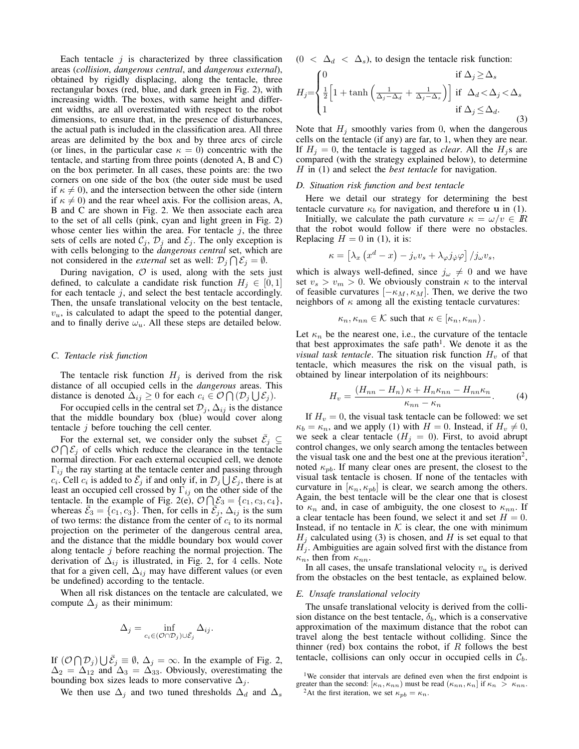Each tentacle  $i$  is characterized by three classification areas (collision, dangerous central, and dangerous external), obtained by rigidly displacing, along the tentacle, three rectangular boxes (red, blue, and dark green in Fig. 2), with increasing width. The boxes, with same height and different widths, are all overestimated with respect to the robot dimensions, to ensure that, in the presence of disturbances, the actual path is included in the classification area. All three areas are delimited by the box and by three arcs of circle (or lines, in the particular case  $\kappa = 0$ ) concentric with the tentacle, and starting from three points (denoted A, B and C) on the box perimeter. In all cases, these points are: the two corners on one side of the box (the outer side must be used if  $\kappa \neq 0$ , and the intersection between the other side (intern if  $\kappa \neq 0$ ) and the rear wheel axis. For the collision areas, A, B and C are shown in Fig. 2. We then associate each area to the set of all cells (pink, cyan and light green in Fig. 2) whose center lies within the area. For tentacle  $j$ , the three sets of cells are noted  $\mathcal{C}_i$ ,  $\mathcal{D}_i$  and  $\mathcal{E}_i$ . The only exception is with cells belonging to the *dangerous central* set, which are not considered in the *external* set as well:  $\mathcal{D}_i \cap \mathcal{E}_i = \emptyset$ .

During navigation,  $O$  is used, along with the sets just defined, to calculate a candidate risk function  $H_j \in [0,1]$ for each tentacle  $j$ , and select the best tentacle accordingly. Then, the unsafe translational velocity on the best tentacle,  $v_u$ , is calculated to adapt the speed to the potential danger, and to finally derive  $\omega_u$ . All these steps are detailed below.

#### C. Tentacle risk function

The tentacle risk function  $H_i$  is derived from the risk distance of all occupied cells in the *dangerous* areas. This distance is denoted  $\Delta_{ij} \geq 0$  for each  $c_i \in \mathcal{O}(\Pi(\mathcal{D}_i \cup \mathcal{E}_i)).$ 

For occupied cells in the central set  $\mathcal{D}_i$ ,  $\Delta_{ij}$  is the distance that the middle boundary box (blue) would cover along tentacle  $j$  before touching the cell center.

For the external set, we consider only the subset  $\mathcal{E}_i$   $\subseteq$  $\mathcal{O} \cap \mathcal{E}_i$  of cells which reduce the clearance in the tentacle normal direction. For each external occupied cell, we denote  $\Gamma_{ij}$  the ray starting at the tentacle center and passing through  $c_i$ . Cell  $c_i$  is added to  $\bar{\mathcal{E}}_i$  if and only if, in  $\mathcal{D}_i \bigcup \mathcal{E}_i$ , there is at least an occupied cell crossed by  $\Gamma_{ij}$  on the other side of the tentacle. In the example of Fig. 2(e),  $\mathcal{O} \cap \mathcal{E}_3 = \{c_1, c_3, c_4\},\$ whereas  $\mathcal{E}_3 = \{c_1, c_3\}$ . Then, for cells in  $\mathcal{E}_i$ ,  $\Delta_{ij}$  is the sum of two terms: the distance from the center of  $c_i$  to its normal projection on the perimeter of the dangerous central area, and the distance that the middle boundary box would cover along tentacle  $j$  before reaching the normal projection. The derivation of  $\Delta_{ij}$  is illustrated, in Fig. 2, for 4 cells. Note that for a given cell,  $\Delta_{ij}$  may have different values (or even be undefined) according to the tentacle.

When all risk distances on the tentacle are calculated, we compute  $\Delta_i$  as their minimum:

$$
\Delta_j = \inf_{c_i \in (\mathcal{O} \cap \mathcal{D}_j) \cup \bar{\mathcal{E}}_j} \Delta_{ij}
$$

If  $(\mathcal{O} \cap \mathcal{D}_j) \bigcup \overline{\mathcal{E}}_j \equiv \emptyset$ ,  $\Delta_j = \infty$ . In the example of Fig. 2,  $\Delta_2 = \Delta_{12}$  and  $\Delta_3 = \Delta_{33}$ . Obviously, overestimating the bounding box sizes leads to more conservative  $\Delta_j$ .

We then use  $\Delta_j$  and two tuned thresholds  $\Delta_d$  and  $\Delta_s$ 

 $(0 < \Delta_d < \Delta_s)$ , to design the tentacle risk function:

$$
H_j = \begin{cases} 0 & \text{if } \Delta_j \ge \Delta_s \\ \frac{1}{2} \left[ 1 + \tanh \left( \frac{1}{\Delta_j - \Delta_d} + \frac{1}{\Delta_j - \Delta_s} \right) \right] & \text{if } \Delta_d < \Delta_j < \Delta_s \\ 1 & \text{if } \Delta_j \le \Delta_d. \end{cases}
$$
 (3)

Note that  $H_j$  smoothly varies from 0, when the dangerous cells on the tentacle (if any) are far, to 1, when they are near. If  $H_j = 0$ , the tentacle is tagged as *clear*. All the  $H_j$ s are compared (with the strategy explained below), to determine  $H$  in (1) and select the *best tentacle* for navigation.

#### D. Situation risk function and best tentacle

Here we detail our strategy for determining the best tentacle curvature  $\kappa_b$  for navigation, and therefore **u** in (1).

Initially, we calculate the path curvature  $\kappa = \omega/v \in \mathbb{R}$ that the robot would follow if there were no obstacles. Replacing  $H = 0$  in (1), it is:

$$
\kappa = \left[\lambda_x \left(x^d - x\right) - j_v v_s + \lambda_\varphi j_\varphi \varphi\right] / j_\omega v_s
$$

which is always well-defined, since  $j_{\omega} \neq 0$  and we have set  $v_s > v_m > 0$ . We obviously constrain  $\kappa$  to the interval of feasible curvatures  $[-\kappa_M, \kappa_M]$ . Then, we derive the two neighbors of  $\kappa$  among all the existing tentacle curvatures:

$$
\kappa_n, \kappa_{nn} \in \mathcal{K} \text{ such that } \kappa \in [\kappa_n, \kappa_{nn}).
$$

Let  $\kappa_n$  be the nearest one, i.e., the curvature of the tentacle that best approximates the safe path<sup>1</sup>. We denote it as the *visual task tentacle.* The situation risk function  $H_v$  of that tentacle, which measures the risk on the visual path, is obtained by linear interpolation of its neighbours:

$$
H_v = \frac{(H_{nn} - H_n)\kappa + H_n \kappa_{nn} - H_{nn} \kappa_n}{\kappa_{nn} - \kappa_n}.
$$
 (4)

If  $H_v = 0$ , the visual task tentacle can be followed: we set  $\kappa_b = \kappa_n$ , and we apply (1) with  $H = 0$ . Instead, if  $H_v \neq 0$ , we seek a clear tentacle ( $H_j = 0$ ). First, to avoid abrupt control changes, we only search among the tentacles between the visual task one and the best one at the previous iteration<sup>2</sup>, noted  $\kappa_{pb}$ . If many clear ones are present, the closest to the visual task tentacle is chosen. If none of the tentacles with curvature in  $[\kappa_n, \kappa_{pb}]$  is clear, we search among the others. Again, the best tentacle will be the clear one that is closest to  $\kappa_n$  and, in case of ambiguity, the one closest to  $\kappa_{nn}$ . If a clear tentacle has been found, we select it and set  $H = 0$ . Instead, if no tentacle in  $K$  is clear, the one with minimum  $H_i$  calculated using (3) is chosen, and H is set equal to that  $H_j$ . Ambiguities are again solved first with the distance from  $\kappa_n$ , then from  $\kappa_{nn}$ .

In all cases, the unsafe translational velocity  $v_u$  is derived from the obstacles on the best tentacle, as explained below.

#### E. Unsafe translational velocity

The unsafe translational velocity is derived from the collision distance on the best tentacle,  $\delta_b$ , which is a conservative approximation of the maximum distance that the robot can travel along the best tentacle without colliding. Since the thinner (red) box contains the robot, if  $R$  follows the best tentacle, collisions can only occur in occupied cells in  $C_b$ .

<sup>1</sup>We consider that intervals are defined even when the first endpoint is greater than the second:  $[\kappa_n, \kappa_{nn})$  must be read  $(\kappa_{nn}, \kappa_n]$  if  $\kappa_n > \kappa_{nn}$ . <sup>2</sup>At the first iteration, we set  $\kappa_{pb} = \kappa_n$ .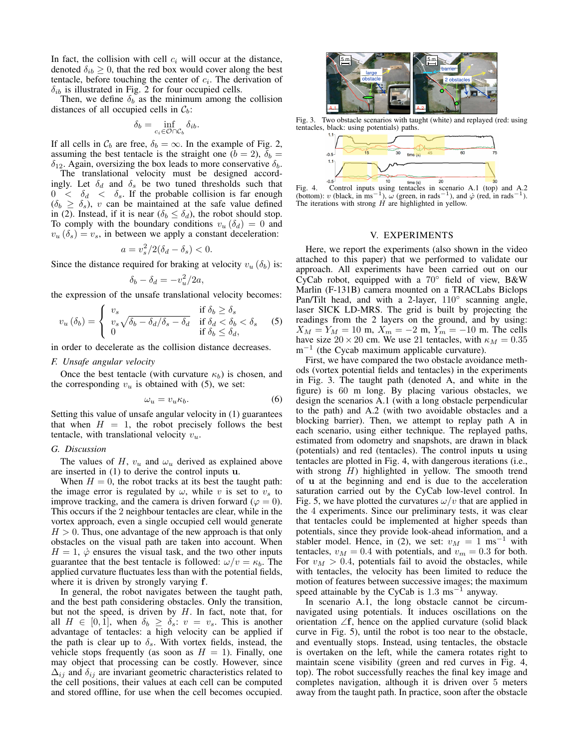In fact, the collision with cell  $c_i$  will occur at the distance, denoted  $\delta_{ib} \geq 0$ , that the red box would cover along the best tentacle, before touching the center of  $c_i$ . The derivation of  $\delta_{ib}$  is illustrated in Fig. 2 for four occupied cells.

Then, we define  $\delta_b$  as the minimum among the collision distances of all occupied cells in  $C_b$ :

$$
\delta_b = \inf_{c_i \in \mathcal{O} \cap \mathcal{C}_b} \delta_{ib}.
$$

If all cells in  $C_b$  are free,  $\delta_b = \infty$ . In the example of Fig. 2, assuming the best tentacle is the straight one ( $b = 2$ ),  $\delta_b =$  $\delta_{12}$ . Again, oversizing the box leads to more conservative  $\delta_b$ .

The translational velocity must be designed accordingly. Let  $\delta_d$  and  $\delta_s$  be two tuned thresholds such that  $0 < \delta_d < \delta_s$ . If the probable collision is far enough  $(\delta_b \ge \delta_s)$ , v can be maintained at the safe value defined in (2). Instead, if it is near  $(\delta_b \le \delta_d)$ , the robot should stop. To comply with the boundary conditions  $v_u$  ( $\delta_d$ ) = 0 and  $v_u(\delta_s) = v_s$ , in between we apply a constant deceleration:

$$
a = v_s^2/2(\delta_d - \delta_s) < 0.
$$

Since the distance required for braking at velocity  $v_u$  ( $\delta_b$ ) is:

$$
\delta_b - \delta_d = -v_u^2/2a,
$$

the expression of the unsafe translational velocity becomes:

$$
v_u(\delta_b) = \begin{cases} v_s & \text{if } \delta_b \ge \delta_s \\ v_s \sqrt{\delta_b - \delta_d/\delta_s - \delta_d} & \text{if } \delta_d < \delta_b < \delta_s \\ 0 & \text{if } \delta_b \le \delta_d, \end{cases}
$$
 (5)

in order to decelerate as the collision distance decreases.

#### F. Unsafe angular velocity

Once the best tentacle (with curvature  $\kappa_b$ ) is chosen, and the corresponding  $v_u$  is obtained with (5), we set:

$$
\omega_u = v_u \kappa_b. \tag{6}
$$

Setting this value of unsafe angular velocity in (1) guarantees that when  $H = 1$ , the robot precisely follows the best tentacle, with translational velocity  $v_u$ .

## G. Discussion

The values of H,  $v_u$  and  $\omega_u$  derived as explained above are inserted in  $(1)$  to derive the control inputs  $\bf{u}$ .

When  $H = 0$ , the robot tracks at its best the taught path: the image error is regulated by  $\omega$ , while v is set to  $v_s$  to improve tracking, and the camera is driven forward ( $\varphi = 0$ ). This occurs if the 2 neighbour tentacles are clear, while in the vortex approach, even a single occupied cell would generate  $H > 0$ . Thus, one advantage of the new approach is that only obstacles on the visual path are taken into account. When  $H = 1$ ,  $\dot{\varphi}$  ensures the visual task, and the two other inputs guarantee that the best tentacle is followed:  $\omega/v = \kappa_b$ . The applied curvature fluctuates less than with the potential fields, where it is driven by strongly varying f.

In general, the robot navigates between the taught path, and the best path considering obstacles. Only the transition, but not the speed, is driven by  $H$ . In fact, note that, for all  $H \in [0,1]$ , when  $\delta_b \geq \delta_s$ :  $v = v_s$ . This is another advantage of tentacles: a high velocity can be applied if the path is clear up to  $\delta_s$ . With vortex fields, instead, the vehicle stops frequently (as soon as  $H = 1$ ). Finally, one may object that processing can be costly. However, since  $\Delta_{ij}$  and  $\delta_{ij}$  are invariant geometric characteristics related to the cell positions, their values at each cell can be computed and stored offline, for use when the cell becomes occupied.



Fig. 3. Two obstacle scenarios with taught (white) and replayed (red: using tentacles, black: using potentials) paths.



Fig. 4. Control inputs using tentacles in scenario A.1 (top) and A.2 (bottom): v (black, in ms<sup>-1</sup>),  $\omega$  (green, in rads<sup>-1</sup>), and  $\dot{\varphi}$  (red, in rads<sup>-1</sup>). The iterations with strong *H* are highlighted in yellow.

#### V. EXPERIMENTS

Here, we report the experiments (also shown in the video attached to this paper) that we performed to validate our approach. All experiments have been carried out on our CyCab robot, equipped with a  $70^{\circ}$  field of view, B&W Marlin (F-131B) camera mounted on a TRACLabs Biclops Pan/Tilt head, and with a 2-layer,  $110^{\circ}$  scanning angle, laser SICK LD-MRS. The grid is built by projecting the readings from the 2 layers on the ground, and by using:  $X_M = Y_M = 10$  m,  $X_m = -2$  m,  $Y_m = -10$  m. The cells have size  $20 \times 20$  cm. We use 21 tentacles, with  $\kappa_M = 0.35$  $m^{-1}$  (the Cycab maximum applicable curvature).

First, we have compared the two obstacle avoidance methods (vortex potential fields and tentacles) in the experiments in Fig. 3. The taught path (denoted A, and white in the figure) is 60 m long. By placing various obstacles, we design the scenarios A.1 (with a long obstacle perpendicular to the path) and A.2 (with two avoidable obstacles and a blocking barrier). Then, we attempt to replay path A in each scenario, using either technique. The replayed paths, estimated from odometry and snapshots, are drawn in black (potentials) and red (tentacles). The control inputs u using tentacles are plotted in Fig. 4, with dangerous iterations (i.e., with strong  $H$ ) highlighted in yellow. The smooth trend of **u** at the beginning and end is due to the acceleration saturation carried out by the CyCab low-level control. In Fig. 5, we have plotted the curvatures  $\omega/v$  that are applied in the 4 experiments. Since our preliminary tests, it was clear that tentacles could be implemented at higher speeds than potentials, since they provide look-ahead information, and a stabler model. Hence, in (2), we set:  $v_M = 1 \text{ ms}^{-1}$  with tentacles,  $v_M=0.4$  with potentials, and  $v_m=0.3$  for both. For  $v_M > 0.4$ , potentials fail to avoid the obstacles, while with tentacles, the velocity has been limited to reduce the motion of features between successive images; the maximum speed attainable by the CyCab is  $1.3 \text{ ms}^{-1}$  anyway.

In scenario A.1, the long obstacle cannot be circumnavigated using potentials. It induces oscillations on the orientation  $\angle f$ , hence on the applied curvature (solid black curve in Fig. 5), until the robot is too near to the obstacle, and eventually stops. Instead, using tentacles, the obstacle is overtaken on the left, while the camera rotates right to maintain scene visibility (green and red curves in Fig. 4, top). The robot successfully reaches the final key image and completes navigation, although it is driven over 5 meters away from the taught path. In practice, soon after the obstacle